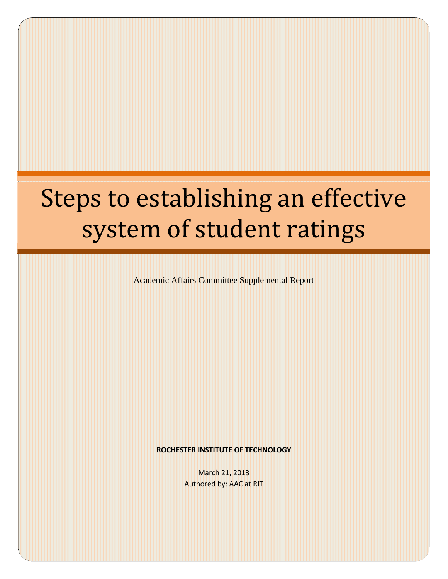# Steps to establishing an effective system of student ratings

Academic Affairs Committee Supplemental Report

#### **ROCHESTER INSTITUTE OF TECHNOLOGY**

March 21, 2013 Authored by: AAC at RIT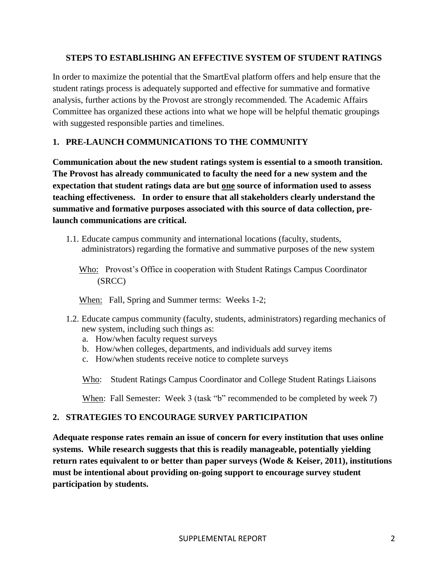### **STEPS TO ESTABLISHING AN EFFECTIVE SYSTEM OF STUDENT RATINGS**

In order to maximize the potential that the SmartEval platform offers and help ensure that the student ratings process is adequately supported and effective for summative and formative analysis, further actions by the Provost are strongly recommended. The Academic Affairs Committee has organized these actions into what we hope will be helpful thematic groupings with suggested responsible parties and timelines.

## **1. PRE-LAUNCH COMMUNICATIONS TO THE COMMUNITY**

**Communication about the new student ratings system is essential to a smooth transition. The Provost has already communicated to faculty the need for a new system and the expectation that student ratings data are but one source of information used to assess teaching effectiveness. In order to ensure that all stakeholders clearly understand the summative and formative purposes associated with this source of data collection, prelaunch communications are critical.**

1.1. Educate campus community and international locations (faculty, students, administrators) regarding the formative and summative purposes of the new system

Who: Provost's Office in cooperation with Student Ratings Campus Coordinator (SRCC)

When: Fall, Spring and Summer terms: Weeks 1-2;

- 1.2. Educate campus community (faculty, students, administrators) regarding mechanics of new system, including such things as:
	- a. How/when faculty request surveys
	- b. How/when colleges, departments, and individuals add survey items
	- c. How/when students receive notice to complete surveys

Who: Student Ratings Campus Coordinator and College Student Ratings Liaisons

When: Fall Semester: Week 3 (task "b" recommended to be completed by week 7)

## **2. STRATEGIES TO ENCOURAGE SURVEY PARTICIPATION**

**Adequate response rates remain an issue of concern for every institution that uses online systems. While research suggests that this is readily manageable, potentially yielding return rates equivalent to or better than paper surveys (Wode & Keiser, 2011), institutions must be intentional about providing on-going support to encourage survey student participation by students.**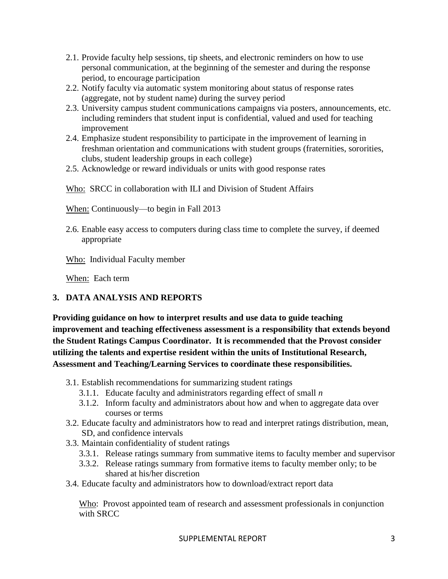- 2.1. Provide faculty help sessions, tip sheets, and electronic reminders on how to use personal communication, at the beginning of the semester and during the response period, to encourage participation
- 2.2. Notify faculty via automatic system monitoring about status of response rates (aggregate, not by student name) during the survey period
- 2.3. University campus student communications campaigns via posters, announcements, etc. including reminders that student input is confidential, valued and used for teaching improvement
- 2.4. Emphasize student responsibility to participate in the improvement of learning in freshman orientation and communications with student groups (fraternities, sororities, clubs, student leadership groups in each college)
- 2.5. Acknowledge or reward individuals or units with good response rates

Who: SRCC in collaboration with ILI and Division of Student Affairs

When: Continuously—to begin in Fall 2013

2.6. Enable easy access to computers during class time to complete the survey, if deemed appropriate

Who: Individual Faculty member

When: Each term

## **3. DATA ANALYSIS AND REPORTS**

**Providing guidance on how to interpret results and use data to guide teaching improvement and teaching effectiveness assessment is a responsibility that extends beyond the Student Ratings Campus Coordinator. It is recommended that the Provost consider utilizing the talents and expertise resident within the units of Institutional Research, Assessment and Teaching/Learning Services to coordinate these responsibilities.**

- 3.1. Establish recommendations for summarizing student ratings
	- 3.1.1. Educate faculty and administrators regarding effect of small *n*
	- 3.1.2. Inform faculty and administrators about how and when to aggregate data over courses or terms
- 3.2. Educate faculty and administrators how to read and interpret ratings distribution, mean, SD, and confidence intervals
- 3.3. Maintain confidentiality of student ratings
	- 3.3.1. Release ratings summary from summative items to faculty member and supervisor
	- 3.3.2. Release ratings summary from formative items to faculty member only; to be shared at his/her discretion
- 3.4. Educate faculty and administrators how to download/extract report data

Who: Provost appointed team of research and assessment professionals in conjunction with SRCC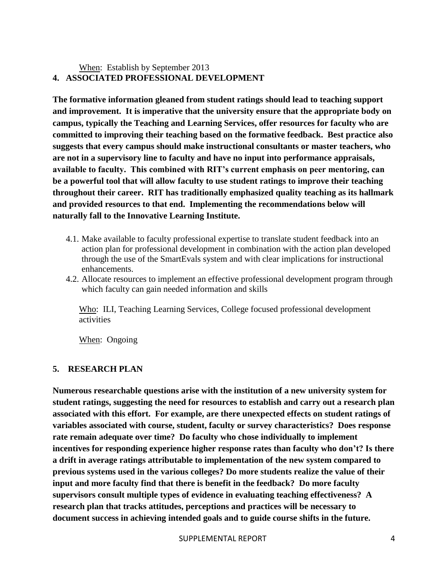## When: Establish by September 2013 **4. ASSOCIATED PROFESSIONAL DEVELOPMENT**

**The formative information gleaned from student ratings should lead to teaching support and improvement. It is imperative that the university ensure that the appropriate body on campus, typically the Teaching and Learning Services, offer resources for faculty who are committed to improving their teaching based on the formative feedback. Best practice also suggests that every campus should make instructional consultants or master teachers, who are not in a supervisory line to faculty and have no input into performance appraisals, available to faculty. This combined with RIT's current emphasis on peer mentoring, can be a powerful tool that will allow faculty to use student ratings to improve their teaching throughout their career. RIT has traditionally emphasized quality teaching as its hallmark and provided resources to that end. Implementing the recommendations below will naturally fall to the Innovative Learning Institute.**

- 4.1. Make available to faculty professional expertise to translate student feedback into an action plan for professional development in combination with the action plan developed through the use of the SmartEvals system and with clear implications for instructional enhancements.
- 4.2. Allocate resources to implement an effective professional development program through which faculty can gain needed information and skills

Who: ILI, Teaching Learning Services, College focused professional development activities

When: Ongoing

## **5. RESEARCH PLAN**

**Numerous researchable questions arise with the institution of a new university system for student ratings, suggesting the need for resources to establish and carry out a research plan associated with this effort. For example, are there unexpected effects on student ratings of variables associated with course, student, faculty or survey characteristics? Does response rate remain adequate over time? Do faculty who chose individually to implement incentives for responding experience higher response rates than faculty who don't? Is there a drift in average ratings attributable to implementation of the new system compared to previous systems used in the various colleges? Do more students realize the value of their input and more faculty find that there is benefit in the feedback? Do more faculty supervisors consult multiple types of evidence in evaluating teaching effectiveness? A research plan that tracks attitudes, perceptions and practices will be necessary to document success in achieving intended goals and to guide course shifts in the future.**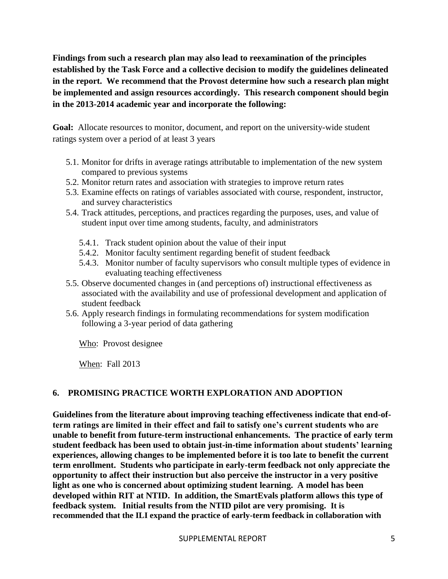**Findings from such a research plan may also lead to reexamination of the principles established by the Task Force and a collective decision to modify the guidelines delineated in the report. We recommend that the Provost determine how such a research plan might be implemented and assign resources accordingly. This research component should begin in the 2013-2014 academic year and incorporate the following:**

**Goal:** Allocate resources to monitor, document, and report on the university-wide student ratings system over a period of at least 3 years

- 5.1. Monitor for drifts in average ratings attributable to implementation of the new system compared to previous systems
- 5.2. Monitor return rates and association with strategies to improve return rates
- 5.3. Examine effects on ratings of variables associated with course, respondent, instructor, and survey characteristics
- 5.4. Track attitudes, perceptions, and practices regarding the purposes, uses, and value of student input over time among students, faculty, and administrators
	- 5.4.1. Track student opinion about the value of their input
	- 5.4.2. Monitor faculty sentiment regarding benefit of student feedback
	- 5.4.3. Monitor number of faculty supervisors who consult multiple types of evidence in evaluating teaching effectiveness
- 5.5. Observe documented changes in (and perceptions of) instructional effectiveness as associated with the availability and use of professional development and application of student feedback
- 5.6. Apply research findings in formulating recommendations for system modification following a 3-year period of data gathering

Who: Provost designee

When: Fall 2013

## **6. PROMISING PRACTICE WORTH EXPLORATION AND ADOPTION**

**Guidelines from the literature about improving teaching effectiveness indicate that end-ofterm ratings are limited in their effect and fail to satisfy one's current students who are unable to benefit from future-term instructional enhancements. The practice of early term student feedback has been used to obtain just-in-time information about students' learning experiences, allowing changes to be implemented before it is too late to benefit the current term enrollment. Students who participate in early-term feedback not only appreciate the opportunity to affect their instruction but also perceive the instructor in a very positive light as one who is concerned about optimizing student learning. A model has been developed within RIT at NTID. In addition, the SmartEvals platform allows this type of feedback system. Initial results from the NTID pilot are very promising. It is recommended that the ILI expand the practice of early-term feedback in collaboration with**